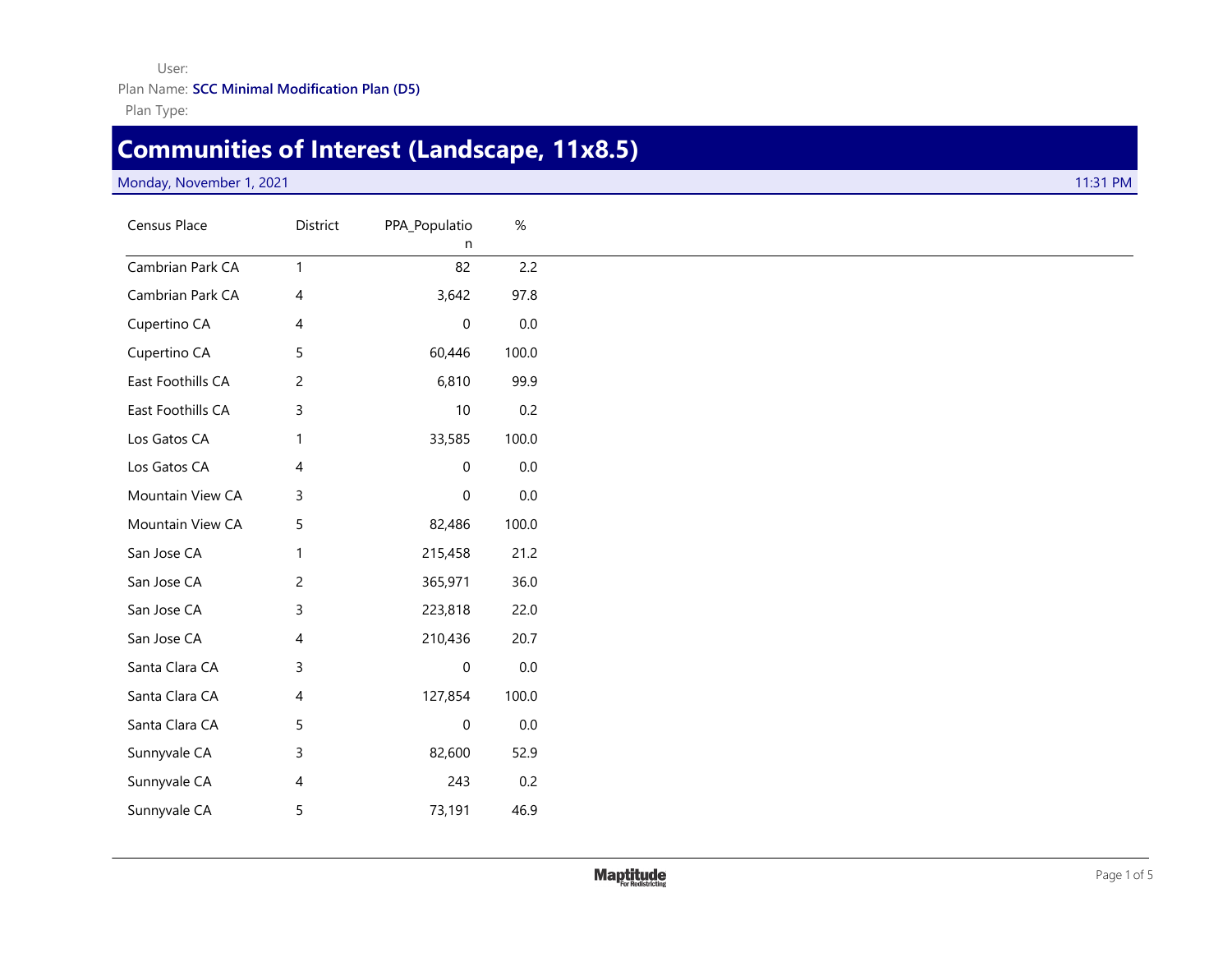User:

Plan Name: **SCC Minimal Modification Plan (D5)**

Plan Type:

## **Communities of Interest (Landscape, 11x8.5)**

## Monday, November 1, 2021 **11:31 PM**

| Census Place      | District       | PPA_Populatio<br>n  | $\%$    |
|-------------------|----------------|---------------------|---------|
| Cambrian Park CA  | $\mathbf{1}$   | 82                  | 2.2     |
| Cambrian Park CA  | 4              | 3,642               | 97.8    |
| Cupertino CA      | 4              | $\boldsymbol{0}$    | $0.0\,$ |
| Cupertino CA      | 5              | 60,446              | 100.0   |
| East Foothills CA | $\overline{c}$ | 6,810               | 99.9    |
| East Foothills CA | $\mathsf{3}$   | $10$                | 0.2     |
| Los Gatos CA      | $\mathbf{1}$   | 33,585              | 100.0   |
| Los Gatos CA      | 4              | $\mathsf{O}\xspace$ | $0.0\,$ |
| Mountain View CA  | $\mathsf 3$    | $\mathsf{O}\xspace$ | $0.0\,$ |
| Mountain View CA  | $\sqrt{5}$     | 82,486              | 100.0   |
| San Jose CA       | $\mathbf{1}$   | 215,458             | 21.2    |
| San Jose CA       | $\overline{c}$ | 365,971             | 36.0    |
| San Jose CA       | $\mathsf 3$    | 223,818             | 22.0    |
| San Jose CA       | 4              | 210,436             | 20.7    |
| Santa Clara CA    | $\mathsf 3$    | $\pmb{0}$           | $0.0\,$ |
| Santa Clara CA    | 4              | 127,854             | 100.0   |
| Santa Clara CA    | $\sqrt{5}$     | $\boldsymbol{0}$    | $0.0\,$ |
| Sunnyvale CA      | 3              | 82,600              | 52.9    |
| Sunnyvale CA      | 4              | 243                 | 0.2     |
| Sunnyvale CA      | $\sqrt{5}$     | 73,191              | 46.9    |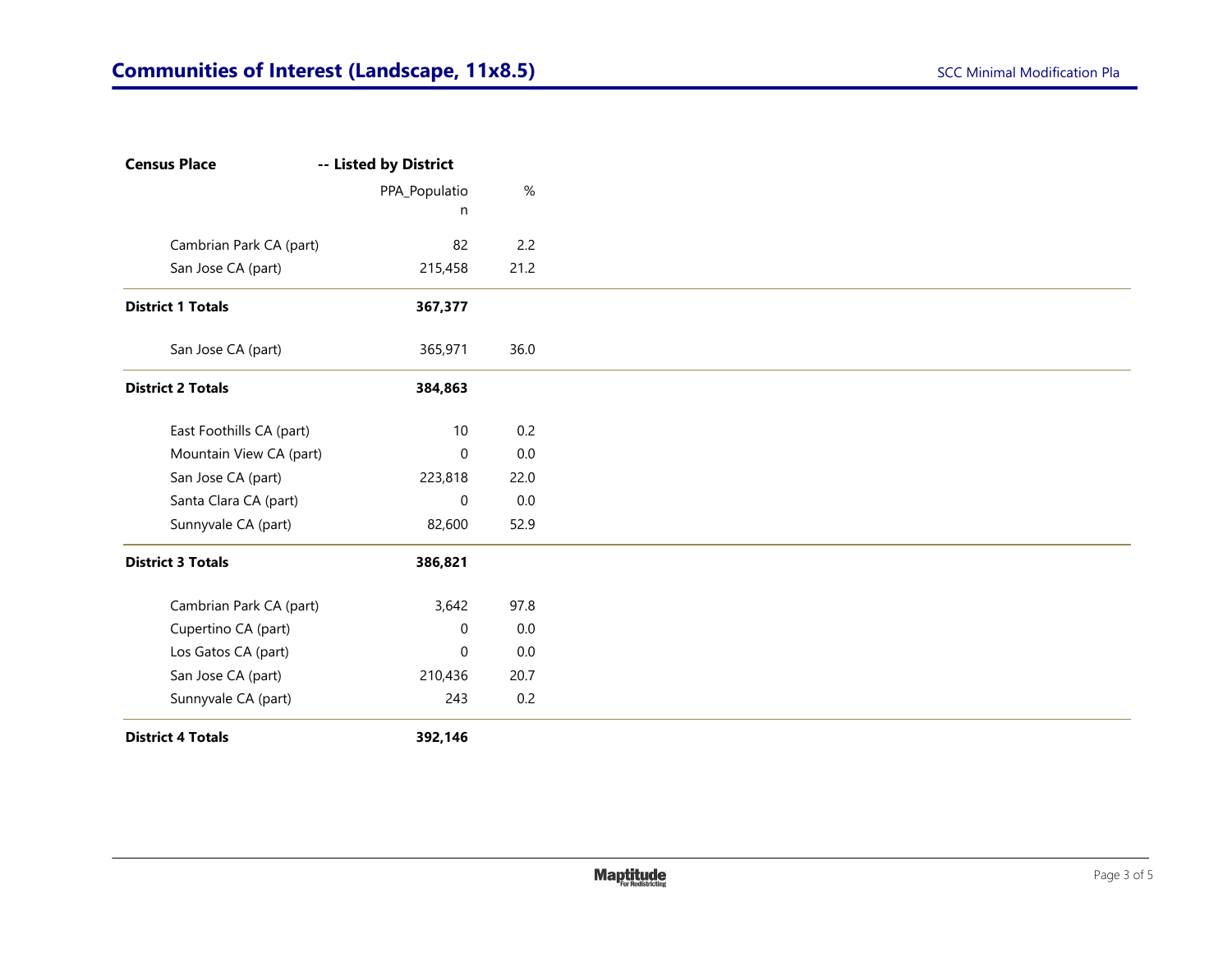| <b>Census Place</b>      | -- Listed by District |         |
|--------------------------|-----------------------|---------|
|                          | PPA_Populatio         | $\%$    |
|                          | n                     |         |
| Cambrian Park CA (part)  | 82                    | 2.2     |
| San Jose CA (part)       | 215,458               | 21.2    |
| <b>District 1 Totals</b> | 367,377               |         |
| San Jose CA (part)       | 365,971               | 36.0    |
| <b>District 2 Totals</b> | 384,863               |         |
| East Foothills CA (part) | 10                    | 0.2     |
| Mountain View CA (part)  | 0                     | $0.0\,$ |
| San Jose CA (part)       | 223,818               | 22.0    |
| Santa Clara CA (part)    | 0                     | $0.0\,$ |
| Sunnyvale CA (part)      | 82,600                | 52.9    |
| <b>District 3 Totals</b> | 386,821               |         |
| Cambrian Park CA (part)  | 3,642                 | 97.8    |
| Cupertino CA (part)      | 0                     | 0.0     |
| Los Gatos CA (part)      | $\mathbf 0$           | $0.0\,$ |
| San Jose CA (part)       | 210,436               | 20.7    |
| Sunnyvale CA (part)      | 243                   | 0.2     |
| <b>District 4 Totals</b> | 392,146               |         |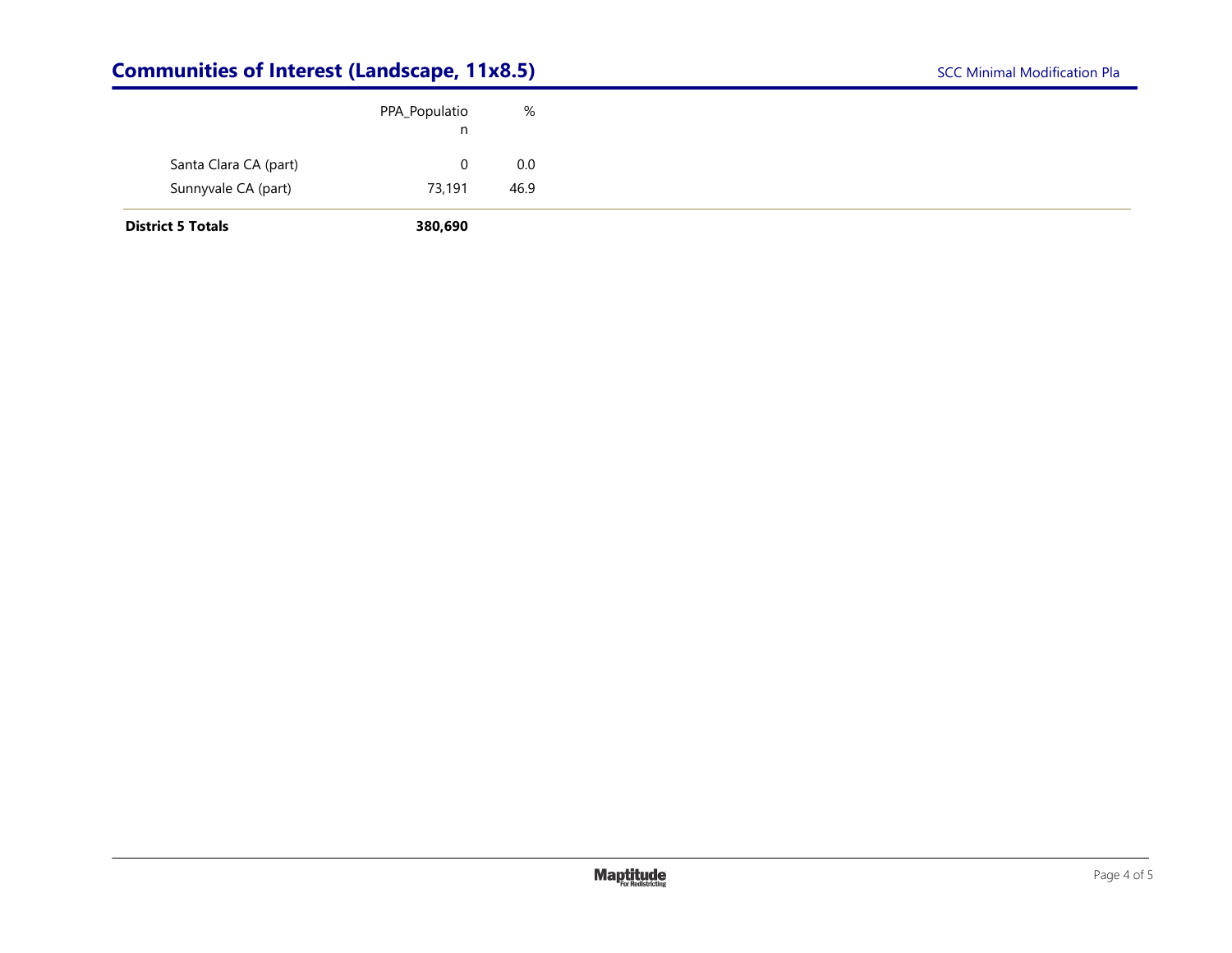## **Communities of Interest (Landscape, 11x8.5)** SCC Minimal Modification Pla

| <b>District 5 Totals</b> | 380,690       |      |
|--------------------------|---------------|------|
| Sunnyvale CA (part)      | 73,191        | 46.9 |
| Santa Clara CA (part)    |               | 0.0  |
|                          | n             |      |
|                          | PPA_Populatio | %    |